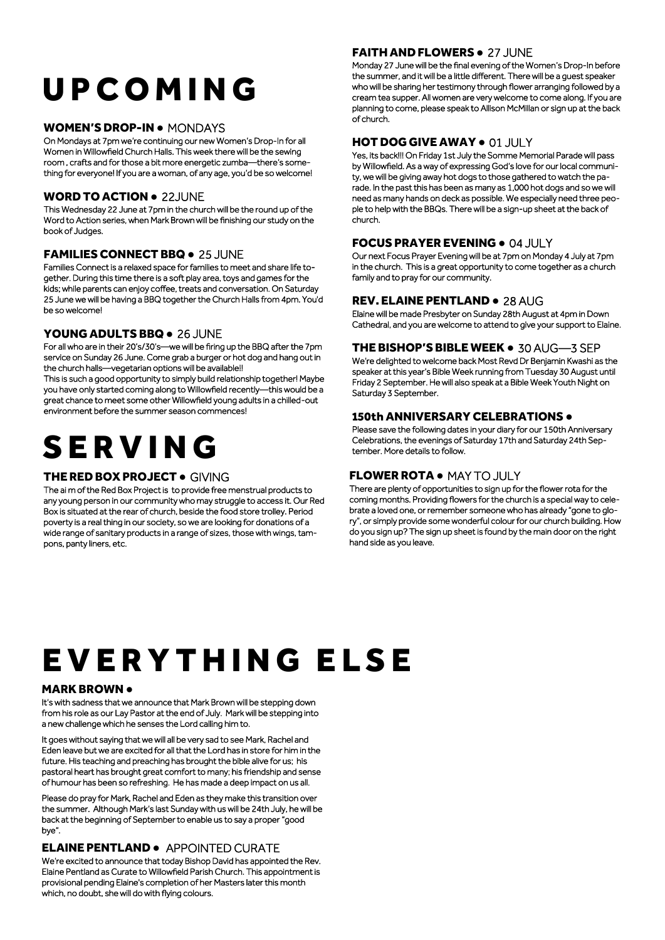# U P C O M I N G

#### WOMEN'S DROP-IN ● MONDAYS

On Mondays at 7pm we're continuing our new Women's Drop-In for all Women in Willowfield Church Halls. This week there will be the sewing room , crafts and for those a bit more energetic zumba—there's something for everyone! If you are a woman, of any age, you'd be so welcome!

#### WORD TO ACTION ● 22JUNE

This Wednesday 22 June at 7pm in the church will be the round up of the Word to Action series, when Mark Brown will be finishing our study on the book of Judges.

#### FAMILIES CONNECT BBQ . 25 JUNE

Families Connect is a relaxed space for families to meet and share life together. During this time there is a soft play area, toys and games for the kids; while parents can enjoy coffee, treats and conversation. On Saturday 25 June we will be having a BBQ together the Church Halls from 4pm. You'd be so welcome!

#### YOUNG ADULTS BBQ . 26 JUNE

For all who are in their 20's/30's—we will be firing up the BBQ after the 7pm service on Sunday 26 June. Come grab a burger or hot dog and hang out in the church halls—vegetarian options will be available!!

This is such a good opportunity to simply build relationship together! Maybe you have only started coming along to Willowfield recently—this would be a great chance to meet some other Willowfield young adults in a chilled-out environment before the summer season commences!

### **SERVING**

#### THE RED BOX PROJECT ● GIVING

The ai m of the Red Box Project is to provide free menstrual products to any young person in our community who may struggle to access it. Our Red Box is situated at the rear of church, beside the food store trolley. Period poverty is a real thing in our society, so we are looking for donations of a wide range of sanitary products in a range of sizes, those with wings, tampons, panty liners, etc.

#### FAITH AND FLOWERS ● 27 JUNE

Monday 27 June will be the final evening of the Women's Drop-In before the summer, and it will be a little different. There will be a guest speaker who will be sharing her testimony through flower arranging followed by a cream tea supper. All women are very welcome to come along. If you are planning to come, please speak to Allison McMillan or sign up at the back of church.

#### HOT DOG GIVE AWAY ● 01 JULY

Yes, its back!!! On Friday 1st July the Somme Memorial Parade will pass by Willowfield. As a way of expressing God's love for our local community, we will be giving away hot dogs to those gathered to watch the parade. In the past this has been as many as 1,000 hot dogs and so we will need as many hands on deck as possible. We especially need three people to help with the BBQs. There will be a sign-up sheet at the back of church.

#### FOCUS PRAYER EVENING ● 04 JULY

Our next Focus Prayer Evening will be at 7pm on Monday 4 July at 7pm in the church. This is a great opportunity to come together as a church family and to pray for our community.

#### REV. ELAINE PENTLAND . 28 AUG

Elaine will be made Presbyter on Sunday 28th August at 4pm in Down Cathedral, and you are welcome to attend to give your support to Elaine.

#### THE BISHOP'S BIBLE WEEK ● 30 AUG—3 SEP

We're delighted to welcome back Most Revd Dr Benjamin Kwashi as the speaker at this year's Bible Week running from Tuesday 30 August until Friday 2 September. He will also speak at a Bible Week Youth Night on Saturday 3 September.

#### 150th ANNIVERSARY CELEBRATIONS .

Please save the following dates in your diary for our 150th Anniversary Celebrations, the evenings of Saturday 17th and Saturday 24th September. More details to follow.

#### FLOWER ROTA ● MAY TO JULY

There are plenty of opportunities to sign up for the flower rota for the coming months. Providing flowers for the church is a special way to celebrate a loved one, or remember someone who has already "gone to glory", or simply provide some wonderful colour for our church building. How do you sign up? The sign up sheet is found by the main door on the right hand side as you leave.

## EVERYTHING ELSE

#### MARK BROWN ●

It's with sadness that we announce that Mark Brown will be stepping down from his role as our Lay Pastor at the end of July. Mark will be stepping into a new challenge which he senses the Lord calling him to.

It goes without saying that we will all be very sad to see Mark, Rachel and Eden leave but we are excited for all that the Lord has in store for him in the future. His teaching and preaching has brought the bible alive for us; his pastoral heart has brought great comfort to many; his friendship and sense of humour has been so refreshing. He has made a deep impact on us all.

Please do pray for Mark, Rachel and Eden as they make this transition over the summer. Although Mark's last Sunday with us will be 24th July, he will be back at the beginning of September to enable us to say a proper "good bye".

#### ELAINE PENTLAND ● APPOINTED CURATE

We're excited to announce that today Bishop David has appointed the Rev. Elaine Pentland as Curate to Willowfield Parish Church. This appointment is provisional pending Elaine's completion of her Masters later this month which, no doubt, she will do with flying colours.